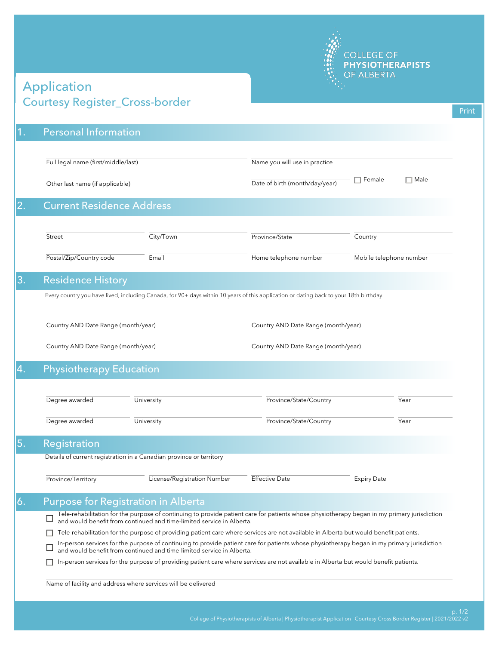

## Courtesy Register\_Cross-border Application

| $\vert$ 1. | <b>Personal Information</b>                                                                                                            |                                                                                                                                                                                                                                                                                                                                                             |                                     |                              |  |  |  |
|------------|----------------------------------------------------------------------------------------------------------------------------------------|-------------------------------------------------------------------------------------------------------------------------------------------------------------------------------------------------------------------------------------------------------------------------------------------------------------------------------------------------------------|-------------------------------------|------------------------------|--|--|--|
|            |                                                                                                                                        |                                                                                                                                                                                                                                                                                                                                                             |                                     |                              |  |  |  |
|            | Full legal name (first/middle/last)                                                                                                    |                                                                                                                                                                                                                                                                                                                                                             | Name you will use in practice       |                              |  |  |  |
|            | Other last name (if applicable)                                                                                                        |                                                                                                                                                                                                                                                                                                                                                             | Date of birth (month/day/year)      | $\Box$ Female<br>$\Box$ Male |  |  |  |
| 2.         | <b>Current Residence Address</b>                                                                                                       |                                                                                                                                                                                                                                                                                                                                                             |                                     |                              |  |  |  |
|            | Street                                                                                                                                 | City/Town                                                                                                                                                                                                                                                                                                                                                   | Province/State                      | Country                      |  |  |  |
|            |                                                                                                                                        |                                                                                                                                                                                                                                                                                                                                                             |                                     |                              |  |  |  |
|            | Postal/Zip/Country code                                                                                                                | Email                                                                                                                                                                                                                                                                                                                                                       | Home telephone number               | Mobile telephone number      |  |  |  |
| 3.         | <b>Residence History</b>                                                                                                               |                                                                                                                                                                                                                                                                                                                                                             |                                     |                              |  |  |  |
|            | Every country you have lived, including Canada, for 90+ days within 10 years of this application or dating back to your 18th birthday. |                                                                                                                                                                                                                                                                                                                                                             |                                     |                              |  |  |  |
|            | Country AND Date Range (month/year)                                                                                                    |                                                                                                                                                                                                                                                                                                                                                             | Country AND Date Range (month/year) |                              |  |  |  |
|            |                                                                                                                                        |                                                                                                                                                                                                                                                                                                                                                             |                                     |                              |  |  |  |
|            | Country AND Date Range (month/year)                                                                                                    |                                                                                                                                                                                                                                                                                                                                                             | Country AND Date Range (month/year) |                              |  |  |  |
| 4.         | <b>Physiotherapy Education</b>                                                                                                         |                                                                                                                                                                                                                                                                                                                                                             |                                     |                              |  |  |  |
|            |                                                                                                                                        |                                                                                                                                                                                                                                                                                                                                                             |                                     |                              |  |  |  |
|            | Degree awarded                                                                                                                         | University                                                                                                                                                                                                                                                                                                                                                  | Province/State/Country              | Year                         |  |  |  |
|            | Degree awarded                                                                                                                         | University                                                                                                                                                                                                                                                                                                                                                  | Province/State/Country              | Year                         |  |  |  |
| 5.         | Registration                                                                                                                           |                                                                                                                                                                                                                                                                                                                                                             |                                     |                              |  |  |  |
|            |                                                                                                                                        | Details of current registration in a Canadian province or territory                                                                                                                                                                                                                                                                                         |                                     |                              |  |  |  |
|            |                                                                                                                                        |                                                                                                                                                                                                                                                                                                                                                             |                                     |                              |  |  |  |
|            | Province/Territory                                                                                                                     | License/Registration Number                                                                                                                                                                                                                                                                                                                                 | <b>Effective Date</b>               | <b>Expiry Date</b>           |  |  |  |
| 6.         |                                                                                                                                        |                                                                                                                                                                                                                                                                                                                                                             |                                     |                              |  |  |  |
|            | <b>Purpose for Registration in Alberta</b>                                                                                             | Tele-rehabilitation for the purpose of continuing to provide patient care for patients whose physiotherapy began in my primary jurisdiction                                                                                                                                                                                                                 |                                     |                              |  |  |  |
|            | П                                                                                                                                      | and would benefit from continued and time-limited service in Alberta.                                                                                                                                                                                                                                                                                       |                                     |                              |  |  |  |
|            |                                                                                                                                        | Tele-rehabilitation for the purpose of providing patient care where services are not available in Alberta but would benefit patients.                                                                                                                                                                                                                       |                                     |                              |  |  |  |
|            |                                                                                                                                        | In-person services for the purpose of continuing to provide patient care for patients whose physiotherapy began in my primary jurisdiction<br>and would benefit from continued and time-limited service in Alberta.<br>In-person services for the purpose of providing patient care where services are not available in Alberta but would benefit patients. |                                     |                              |  |  |  |
|            |                                                                                                                                        | Name of facility and address where services will be delivered                                                                                                                                                                                                                                                                                               |                                     |                              |  |  |  |